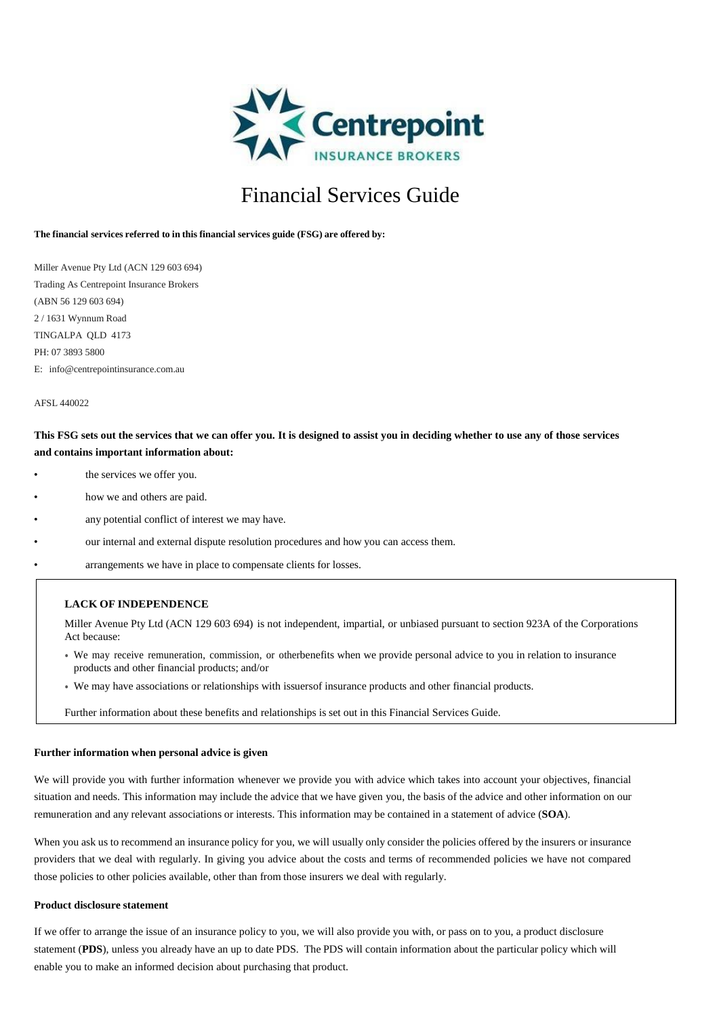

# Financial Services Guide

## **The financial services referred to in this financial services guide (FSG) are offered by:**

Miller Avenue Pty Ltd (ACN 129 603 694) Trading As Centrepoint Insurance Brokers (ABN 56 129 603 694) 2 / 1631 Wynnum Road TINGALPA QLD 4173 PH: 07 3893 5800 E: [info@centrepointinsurance.com.au](mailto:info@centrepointinsurance.com.au)

### AFSL 440022

# **This FSG sets out the services that we can offer you. It is designed to assist you in deciding whether to use any of those services and contains important information about:**

- the services we offer you.
- how we and others are paid.
- any potential conflict of interest we may have.
- our internal and external dispute resolution procedures and how you can access them.
- arrangements we have in place to compensate clients for losses.

If you have any questions about this information,please ask us.

# **LACK OF INDEPENDENCE**

Miller Avenue Pty Ltd (ACN 129 603 694) is not independent, impartial, or unbiased pursuant to section 923A of the Corporations Act because:

- We may receive remuneration, commission, or otherbenefits when we provide personal advice to you in relation to insurance products and other financial products; and/or
- We may have associations or relationships with issuersof insurance products and other financial products.

Further information about these benefits and relationships is set out in this Financial Services Guide.

#### **Further information when personal advice is given**

We will provide you with further information whenever we provide you with advice which takes into account your objectives, financial situation and needs. This information may include the advice that we have given you, the basis of the advice and other information on our remuneration and any relevant associations or interests. This information may be contained in a statement of advice (**SOA**).

When you ask us to recommend an insurance policy for you, we will usually only consider the policies offered by the insurers or insurance providers that we deal with regularly. In giving you advice about the costs and terms of recommended policies we have not compared those policies to other policies available, other than from those insurers we deal with regularly.

## **Product disclosure statement**

If we offer to arrange the issue of an insurance policy to you, we will also provide you with, or pass on to you, a product disclosure statement (**PDS**), unless you already have an up to date PDS. The PDS will contain information about the particular policy which will enable you to make an informed decision about purchasing that product.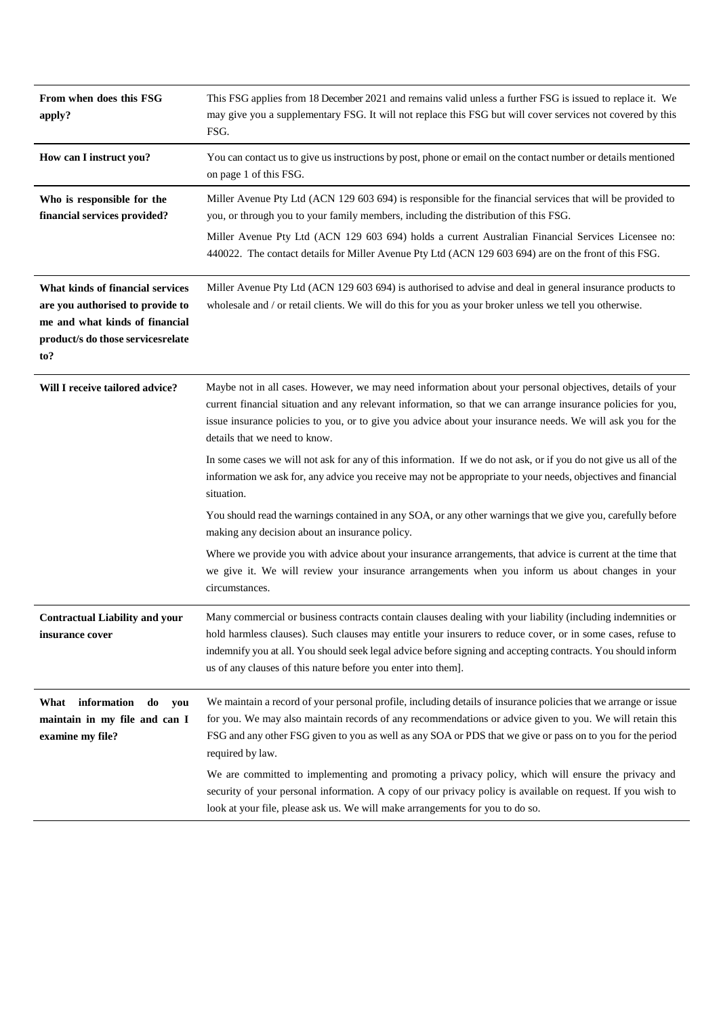| From when does this FSG<br>apply?                                                                                                                   | This FSG applies from 18 December 2021 and remains valid unless a further FSG is issued to replace it. We<br>may give you a supplementary FSG. It will not replace this FSG but will cover services not covered by this<br>FSG.                                                                                                                                                                                  |
|-----------------------------------------------------------------------------------------------------------------------------------------------------|------------------------------------------------------------------------------------------------------------------------------------------------------------------------------------------------------------------------------------------------------------------------------------------------------------------------------------------------------------------------------------------------------------------|
| How can I instruct you?                                                                                                                             | You can contact us to give us instructions by post, phone or email on the contact number or details mentioned<br>on page 1 of this FSG.                                                                                                                                                                                                                                                                          |
| Who is responsible for the<br>financial services provided?                                                                                          | Miller Avenue Pty Ltd (ACN 129 603 694) is responsible for the financial services that will be provided to<br>you, or through you to your family members, including the distribution of this FSG.<br>Miller Avenue Pty Ltd (ACN 129 603 694) holds a current Australian Financial Services Licensee no:<br>440022. The contact details for Miller Avenue Pty Ltd (ACN 129 603 694) are on the front of this FSG. |
| What kinds of financial services<br>are you authorised to provide to<br>me and what kinds of financial<br>product/s do those services relate<br>to? | Miller Avenue Pty Ltd (ACN 129 603 694) is authorised to advise and deal in general insurance products to<br>wholesale and / or retail clients. We will do this for you as your broker unless we tell you otherwise.                                                                                                                                                                                             |
| Will I receive tailored advice?                                                                                                                     | Maybe not in all cases. However, we may need information about your personal objectives, details of your<br>current financial situation and any relevant information, so that we can arrange insurance policies for you,<br>issue insurance policies to you, or to give you advice about your insurance needs. We will ask you for the<br>details that we need to know.                                          |
|                                                                                                                                                     | In some cases we will not ask for any of this information. If we do not ask, or if you do not give us all of the<br>information we ask for, any advice you receive may not be appropriate to your needs, objectives and financial<br>situation.                                                                                                                                                                  |
|                                                                                                                                                     | You should read the warnings contained in any SOA, or any other warnings that we give you, carefully before<br>making any decision about an insurance policy.                                                                                                                                                                                                                                                    |
|                                                                                                                                                     | Where we provide you with advice about your insurance arrangements, that advice is current at the time that<br>we give it. We will review your insurance arrangements when you inform us about changes in your<br>circumstances.                                                                                                                                                                                 |
| <b>Contractual Liability and your</b><br>insurance cover                                                                                            | Many commercial or business contracts contain clauses dealing with your liability (including indemnities or<br>hold harmless clauses). Such clauses may entitle your insurers to reduce cover, or in some cases, refuse to<br>indemnify you at all. You should seek legal advice before signing and accepting contracts. You should inform<br>us of any clauses of this nature before you enter into them].      |
| information<br>What<br>do<br>you<br>maintain in my file and can I<br>examine my file?                                                               | We maintain a record of your personal profile, including details of insurance policies that we arrange or issue<br>for you. We may also maintain records of any recommendations or advice given to you. We will retain this<br>FSG and any other FSG given to you as well as any SOA or PDS that we give or pass on to you for the period<br>required by law.                                                    |
|                                                                                                                                                     | We are committed to implementing and promoting a privacy policy, which will ensure the privacy and<br>security of your personal information. A copy of our privacy policy is available on request. If you wish to<br>look at your file, please ask us. We will make arrangements for you to do so.                                                                                                               |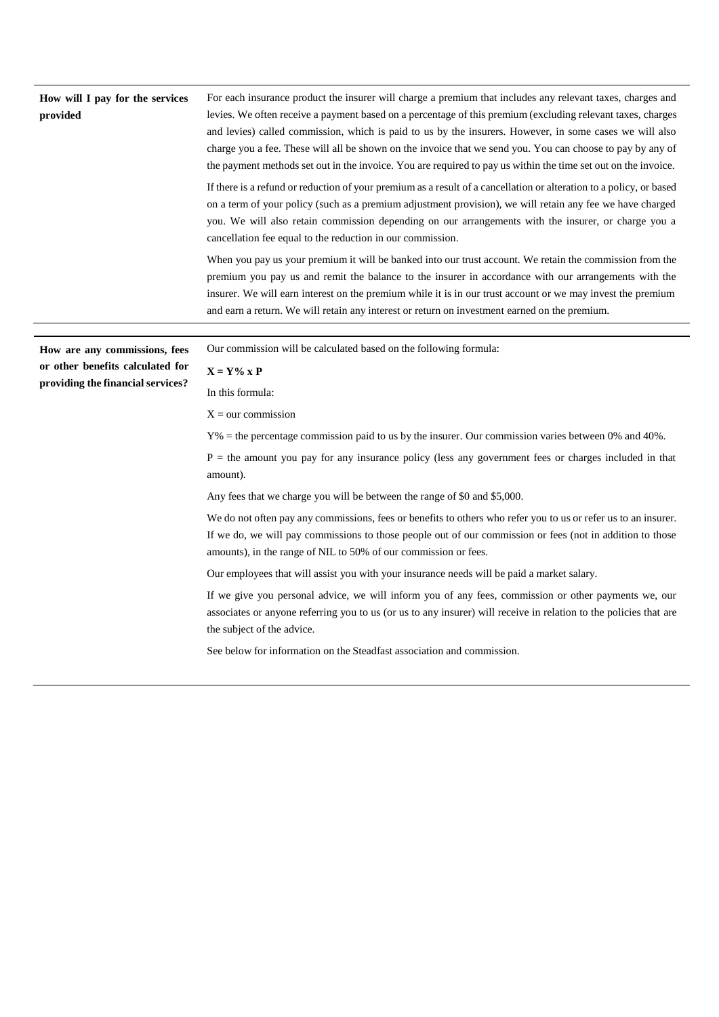| How will I pay for the services<br>provided                           | For each insurance product the insurer will charge a premium that includes any relevant taxes, charges and<br>levies. We often receive a payment based on a percentage of this premium (excluding relevant taxes, charges<br>and levies) called commission, which is paid to us by the insurers. However, in some cases we will also<br>charge you a fee. These will all be shown on the invoice that we send you. You can choose to pay by any of<br>the payment methods set out in the invoice. You are required to pay us within the time set out on the invoice. |  |
|-----------------------------------------------------------------------|----------------------------------------------------------------------------------------------------------------------------------------------------------------------------------------------------------------------------------------------------------------------------------------------------------------------------------------------------------------------------------------------------------------------------------------------------------------------------------------------------------------------------------------------------------------------|--|
|                                                                       | If there is a refund or reduction of your premium as a result of a cancellation or alteration to a policy, or based<br>on a term of your policy (such as a premium adjustment provision), we will retain any fee we have charged<br>you. We will also retain commission depending on our arrangements with the insurer, or charge you a<br>cancellation fee equal to the reduction in our commission.                                                                                                                                                                |  |
|                                                                       | When you pay us your premium it will be banked into our trust account. We retain the commission from the<br>premium you pay us and remit the balance to the insurer in accordance with our arrangements with the<br>insurer. We will earn interest on the premium while it is in our trust account or we may invest the premium<br>and earn a return. We will retain any interest or return on investment earned on the premium.                                                                                                                                     |  |
|                                                                       |                                                                                                                                                                                                                                                                                                                                                                                                                                                                                                                                                                      |  |
| How are any commissions, fees                                         | Our commission will be calculated based on the following formula:                                                                                                                                                                                                                                                                                                                                                                                                                                                                                                    |  |
| or other benefits calculated for<br>providing the financial services? | $X = Y\%$ x P                                                                                                                                                                                                                                                                                                                                                                                                                                                                                                                                                        |  |
|                                                                       | In this formula:                                                                                                                                                                                                                                                                                                                                                                                                                                                                                                                                                     |  |
|                                                                       | $X = our$ commission                                                                                                                                                                                                                                                                                                                                                                                                                                                                                                                                                 |  |
|                                                                       |                                                                                                                                                                                                                                                                                                                                                                                                                                                                                                                                                                      |  |
|                                                                       | $Y\%$ = the percentage commission paid to us by the insurer. Our commission varies between 0% and 40%.                                                                                                                                                                                                                                                                                                                                                                                                                                                               |  |
|                                                                       | $P =$ the amount you pay for any insurance policy (less any government fees or charges included in that<br>amount).                                                                                                                                                                                                                                                                                                                                                                                                                                                  |  |
|                                                                       | Any fees that we charge you will be between the range of \$0 and \$5,000.                                                                                                                                                                                                                                                                                                                                                                                                                                                                                            |  |
|                                                                       | We do not often pay any commissions, fees or benefits to others who refer you to us or refer us to an insurer.<br>If we do, we will pay commissions to those people out of our commission or fees (not in addition to those<br>amounts), in the range of NIL to 50% of our commission or fees.                                                                                                                                                                                                                                                                       |  |
|                                                                       | Our employees that will assist you with your insurance needs will be paid a market salary.                                                                                                                                                                                                                                                                                                                                                                                                                                                                           |  |
|                                                                       | If we give you personal advice, we will inform you of any fees, commission or other payments we, our<br>associates or anyone referring you to us (or us to any insurer) will receive in relation to the policies that are<br>the subject of the advice.                                                                                                                                                                                                                                                                                                              |  |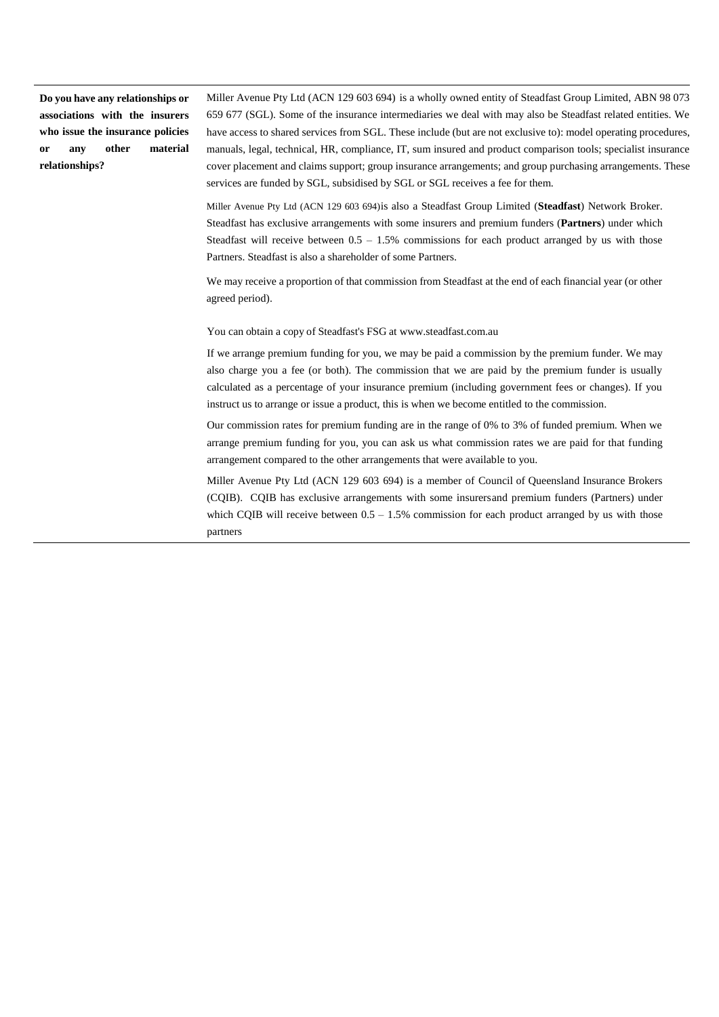**Do you have any relationships or associations with the insurers who issue the insurance policies or any other material relationships?**

Miller Avenue Pty Ltd (ACN 129 603 694) is a wholly owned entity of Steadfast Group Limited, ABN 98 073 659 677 (SGL). Some of the insurance intermediaries we deal with may also be Steadfast related entities. We have access to shared services from SGL. These include (but are not exclusive to): model operating procedures, manuals, legal, technical, HR, compliance, IT, sum insured and product comparison tools; specialist insurance cover placement and claims support; group insurance arrangements; and group purchasing arrangements. These services are funded by SGL, subsidised by SGL or SGL receives a fee for them.

Miller Avenue Pty Ltd (ACN 129 603 694)is also a Steadfast Group Limited (**Steadfast**) Network Broker. Steadfast has exclusive arrangements with some insurers and premium funders (**Partners**) under which Steadfast will receive between  $0.5 - 1.5\%$  commissions for each product arranged by us with those Partners. Steadfast is also a shareholder of some Partners.

We may receive a proportion of that commission from Steadfast at the end of each financial year (or other agreed period).

You can obtain a copy of Steadfast's FSG at [www.steadfast.com.au](http://www.steadfast.com.au/)

If we arrange premium funding for you, we may be paid a commission by the premium funder. We may also charge you a fee (or both). The commission that we are paid by the premium funder is usually calculated as a percentage of your insurance premium (including government fees or changes). If you instruct us to arrange or issue a product, this is when we become entitled to the commission.

Our commission rates for premium funding are in the range of 0% to 3% of funded premium. When we arrange premium funding for you, you can ask us what commission rates we are paid for that funding arrangement compared to the other arrangements that were available to you.

Miller Avenue Pty Ltd (ACN 129 603 694) is a member of Council of Queensland Insurance Brokers (CQIB). CQIB has exclusive arrangements with some insurersand premium funders (Partners) under which CQIB will receive between  $0.5 - 1.5\%$  commission for each product arranged by us with those partners